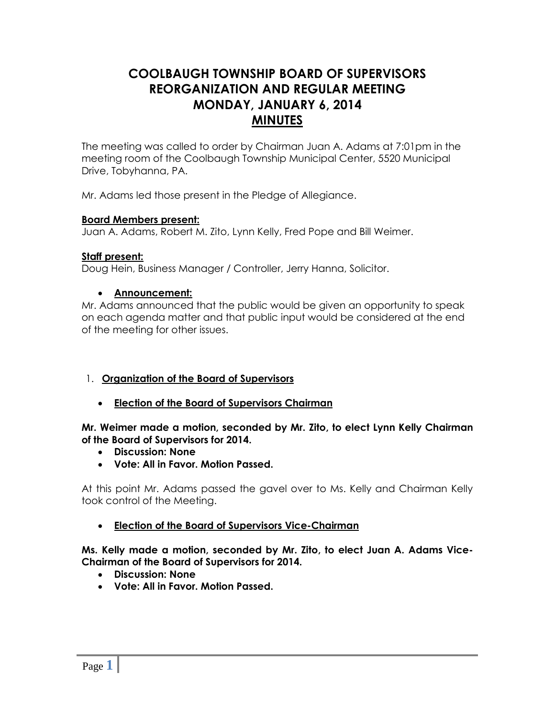# **COOLBAUGH TOWNSHIP BOARD OF SUPERVISORS REORGANIZATION AND REGULAR MEETING MONDAY, JANUARY 6, 2014 MINUTES**

The meeting was called to order by Chairman Juan A. Adams at 7:01pm in the meeting room of the Coolbaugh Township Municipal Center, 5520 Municipal Drive, Tobyhanna, PA.

Mr. Adams led those present in the Pledge of Allegiance.

#### **Board Members present:**

Juan A. Adams, Robert M. Zito, Lynn Kelly, Fred Pope and Bill Weimer.

#### **Staff present:**

Doug Hein, Business Manager / Controller, Jerry Hanna, Solicitor.

#### **Announcement:**

Mr. Adams announced that the public would be given an opportunity to speak on each agenda matter and that public input would be considered at the end of the meeting for other issues.

### 1. **Organization of the Board of Supervisors**

**Election of the Board of Supervisors Chairman**

#### **Mr. Weimer made a motion, seconded by Mr. Zito, to elect Lynn Kelly Chairman of the Board of Supervisors for 2014.**

- **Discussion: None**
- **Vote: All in Favor. Motion Passed.**

At this point Mr. Adams passed the gavel over to Ms. Kelly and Chairman Kelly took control of the Meeting.

**Election of the Board of Supervisors Vice-Chairman**

**Ms. Kelly made a motion, seconded by Mr. Zito, to elect Juan A. Adams Vice-Chairman of the Board of Supervisors for 2014.**

- **Discussion: None**
- **Vote: All in Favor. Motion Passed.**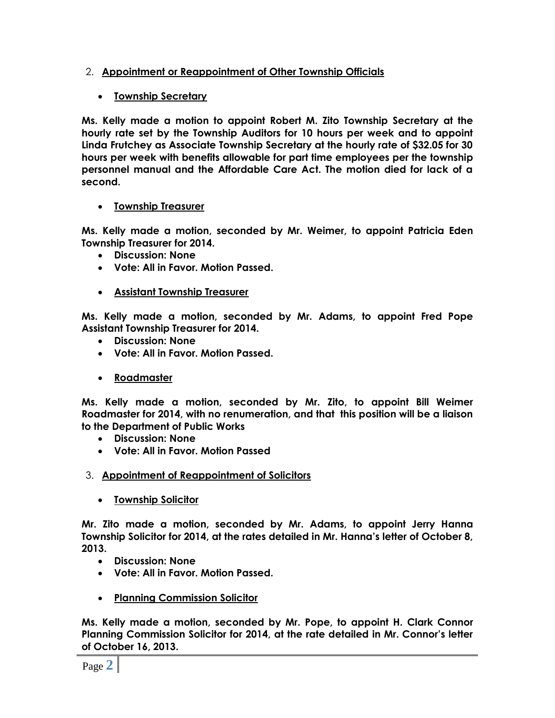## 2. **Appointment or Reappointment of Other Township Officials**

## **Township Secretary**

**Ms. Kelly made a motion to appoint Robert M. Zito Township Secretary at the hourly rate set by the Township Auditors for 10 hours per week and to appoint Linda Frutchey as Associate Township Secretary at the hourly rate of \$32.05 for 30 hours per week with benefits allowable for part time employees per the township personnel manual and the Affordable Care Act. The motion died for lack of a second.**

## **Township Treasurer**

**Ms. Kelly made a motion, seconded by Mr. Weimer, to appoint Patricia Eden Township Treasurer for 2014.**

- **Discussion: None**
- **Vote: All in Favor. Motion Passed.**
- **Assistant Township Treasurer**

**Ms. Kelly made a motion, seconded by Mr. Adams, to appoint Fred Pope Assistant Township Treasurer for 2014.**

- **Discussion: None**
- **Vote: All in Favor. Motion Passed.**
- **Roadmaster**

**Ms. Kelly made a motion, seconded by Mr. Zito, to appoint Bill Weimer Roadmaster for 2014, with no renumeration, and that this position will be a liaison to the Department of Public Works**

- **Discussion: None**
- **Vote: All in Favor. Motion Passed**
- 3. **Appointment of Reappointment of Solicitors**
	- **Township Solicitor**

**Mr. Zito made a motion, seconded by Mr. Adams, to appoint Jerry Hanna Township Solicitor for 2014, at the rates detailed in Mr. Hanna's letter of October 8, 2013.**

- **Discussion: None**
- **Vote: All in Favor. Motion Passed.**
- **Planning Commission Solicitor**

**Ms. Kelly made a motion, seconded by Mr. Pope, to appoint H. Clark Connor Planning Commission Solicitor for 2014, at the rate detailed in Mr. Connor's letter of October 16, 2013.**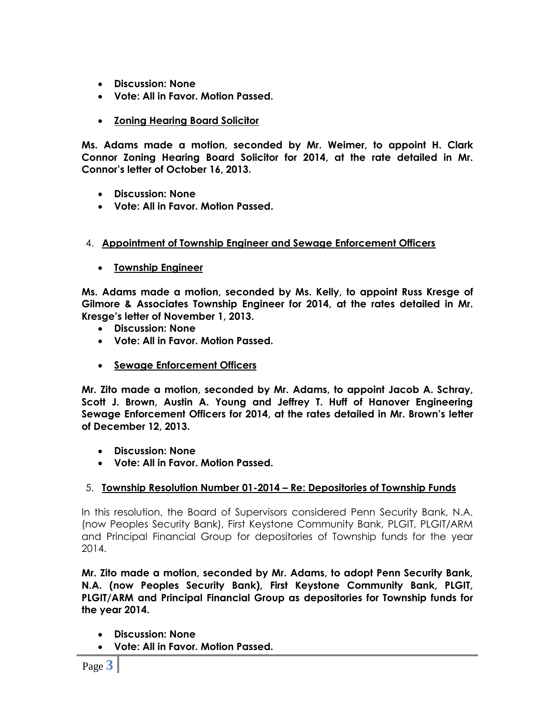- **Discussion: None**
- **Vote: All in Favor. Motion Passed.**
- **Zoning Hearing Board Solicitor**

**Ms. Adams made a motion, seconded by Mr. Weimer, to appoint H. Clark Connor Zoning Hearing Board Solicitor for 2014, at the rate detailed in Mr. Connor's letter of October 16, 2013.**

- **Discussion: None**
- **Vote: All in Favor. Motion Passed.**

## 4. **Appointment of Township Engineer and Sewage Enforcement Officers**

**Township Engineer**

**Ms. Adams made a motion, seconded by Ms. Kelly, to appoint Russ Kresge of Gilmore & Associates Township Engineer for 2014, at the rates detailed in Mr. Kresge's letter of November 1, 2013.**

- **Discussion: None**
- **Vote: All in Favor. Motion Passed.**
- **Sewage Enforcement Officers**

**Mr. Zito made a motion, seconded by Mr. Adams, to appoint Jacob A. Schray, Scott J. Brown, Austin A. Young and Jeffrey T. Huff of Hanover Engineering Sewage Enforcement Officers for 2014, at the rates detailed in Mr. Brown's letter of December 12, 2013.**

- **Discussion: None**
- **Vote: All in Favor. Motion Passed.**

### 5. **Township Resolution Number 01-2014 – Re: Depositories of Township Funds**

In this resolution, the Board of Supervisors considered Penn Security Bank, N.A. (now Peoples Security Bank), First Keystone Community Bank, PLGIT, PLGIT/ARM and Principal Financial Group for depositories of Township funds for the year 2014.

**Mr. Zito made a motion, seconded by Mr. Adams, to adopt Penn Security Bank, N.A. (now Peoples Security Bank), First Keystone Community Bank, PLGIT, PLGIT/ARM and Principal Financial Group as depositories for Township funds for the year 2014.**

- **Discussion: None**
- **Vote: All in Favor. Motion Passed.**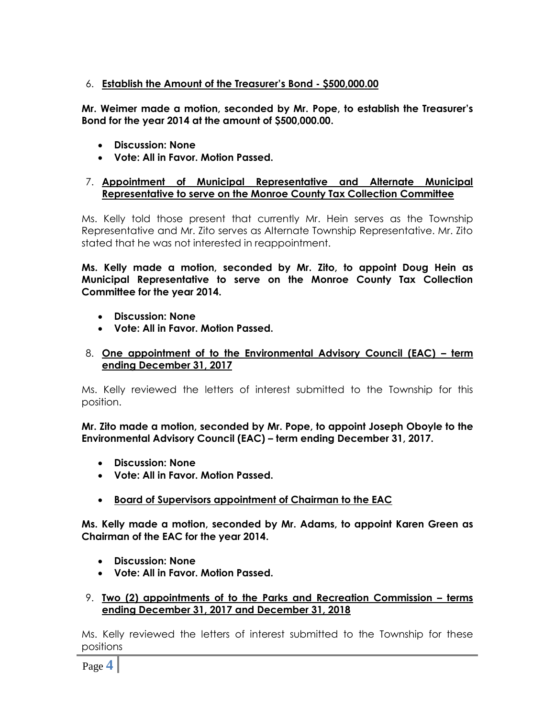## 6. **Establish the Amount of the Treasurer's Bond - \$500,000.00**

**Mr. Weimer made a motion, seconded by Mr. Pope, to establish the Treasurer's Bond for the year 2014 at the amount of \$500,000.00.**

- **Discussion: None**
- **Vote: All in Favor. Motion Passed.**

#### 7. **Appointment of Municipal Representative and Alternate Municipal Representative to serve on the Monroe County Tax Collection Committee**

Ms. Kelly told those present that currently Mr. Hein serves as the Township Representative and Mr. Zito serves as Alternate Township Representative. Mr. Zito stated that he was not interested in reappointment.

**Ms. Kelly made a motion, seconded by Mr. Zito, to appoint Doug Hein as Municipal Representative to serve on the Monroe County Tax Collection Committee for the year 2014.**

- **Discussion: None**
- **Vote: All in Favor. Motion Passed.**

#### 8. **One appointment of to the Environmental Advisory Council (EAC) – term ending December 31, 2017**

Ms. Kelly reviewed the letters of interest submitted to the Township for this position.

**Mr. Zito made a motion, seconded by Mr. Pope, to appoint Joseph Oboyle to the Environmental Advisory Council (EAC) – term ending December 31, 2017.**

- **Discussion: None**
- **Vote: All in Favor. Motion Passed.**
- **Board of Supervisors appointment of Chairman to the EAC**

**Ms. Kelly made a motion, seconded by Mr. Adams, to appoint Karen Green as Chairman of the EAC for the year 2014.**

- **Discussion: None**
- **Vote: All in Favor. Motion Passed.**

#### 9. **Two (2) appointments of to the Parks and Recreation Commission – terms ending December 31, 2017 and December 31, 2018**

Ms. Kelly reviewed the letters of interest submitted to the Township for these positions

Page **4**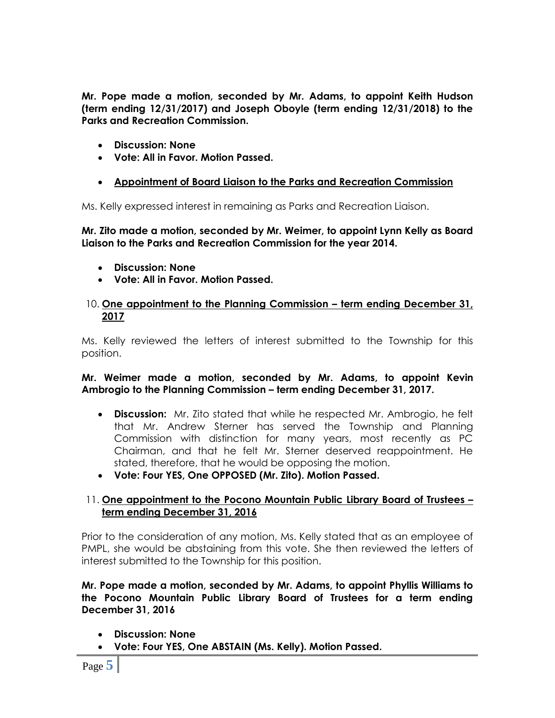**Mr. Pope made a motion, seconded by Mr. Adams, to appoint Keith Hudson (term ending 12/31/2017) and Joseph Oboyle (term ending 12/31/2018) to the Parks and Recreation Commission.**

- **Discussion: None**
- **Vote: All in Favor. Motion Passed.**
- **Appointment of Board Liaison to the Parks and Recreation Commission**

Ms. Kelly expressed interest in remaining as Parks and Recreation Liaison.

**Mr. Zito made a motion, seconded by Mr. Weimer, to appoint Lynn Kelly as Board Liaison to the Parks and Recreation Commission for the year 2014.**

- **Discussion: None**
- **Vote: All in Favor. Motion Passed.**

#### 10. **One appointment to the Planning Commission – term ending December 31, 2017**

Ms. Kelly reviewed the letters of interest submitted to the Township for this position.

#### **Mr. Weimer made a motion, seconded by Mr. Adams, to appoint Kevin Ambrogio to the Planning Commission – term ending December 31, 2017.**

- **Discussion:** Mr. Zito stated that while he respected Mr. Ambrogio, he felt that Mr. Andrew Sterner has served the Township and Planning Commission with distinction for many years, most recently as PC Chairman, and that he felt Mr. Sterner deserved reappointment. He stated, therefore, that he would be opposing the motion.
- **Vote: Four YES, One OPPOSED (Mr. Zito). Motion Passed.**

### 11. **One appointment to the Pocono Mountain Public Library Board of Trustees – term ending December 31, 2016**

Prior to the consideration of any motion, Ms. Kelly stated that as an employee of PMPL, she would be abstaining from this vote. She then reviewed the letters of interest submitted to the Township for this position.

**Mr. Pope made a motion, seconded by Mr. Adams, to appoint Phyllis Williams to the Pocono Mountain Public Library Board of Trustees for a term ending December 31, 2016**

- **Discussion: None**
- **Vote: Four YES, One ABSTAIN (Ms. Kelly). Motion Passed.**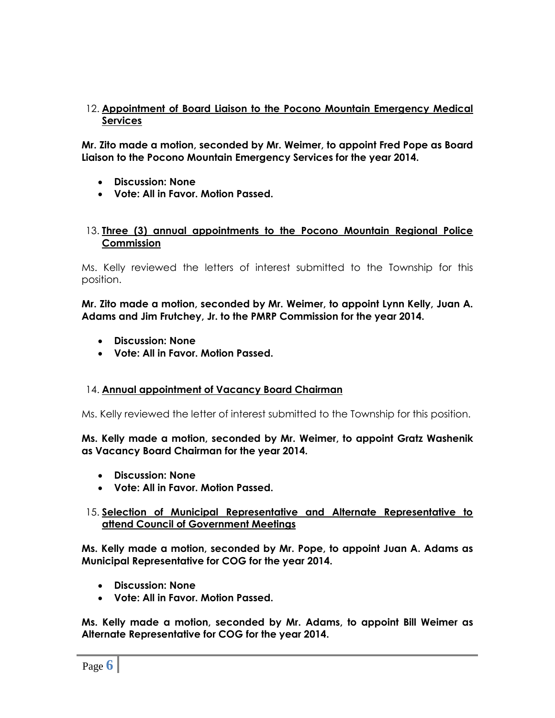### 12. **Appointment of Board Liaison to the Pocono Mountain Emergency Medical Services**

**Mr. Zito made a motion, seconded by Mr. Weimer, to appoint Fred Pope as Board Liaison to the Pocono Mountain Emergency Services for the year 2014.** 

- **Discussion: None**
- **Vote: All in Favor. Motion Passed.**

#### 13. **Three (3) annual appointments to the Pocono Mountain Regional Police Commission**

Ms. Kelly reviewed the letters of interest submitted to the Township for this position.

**Mr. Zito made a motion, seconded by Mr. Weimer, to appoint Lynn Kelly, Juan A. Adams and Jim Frutchey, Jr. to the PMRP Commission for the year 2014.** 

- **Discussion: None**
- **Vote: All in Favor. Motion Passed.**

#### 14. **Annual appointment of Vacancy Board Chairman**

Ms. Kelly reviewed the letter of interest submitted to the Township for this position.

#### **Ms. Kelly made a motion, seconded by Mr. Weimer, to appoint Gratz Washenik as Vacancy Board Chairman for the year 2014.**

- **Discussion: None**
- **Vote: All in Favor. Motion Passed.**

#### 15. **Selection of Municipal Representative and Alternate Representative to attend Council of Government Meetings**

**Ms. Kelly made a motion, seconded by Mr. Pope, to appoint Juan A. Adams as Municipal Representative for COG for the year 2014.** 

- **Discussion: None**
- **Vote: All in Favor. Motion Passed.**

**Ms. Kelly made a motion, seconded by Mr. Adams, to appoint Bill Weimer as Alternate Representative for COG for the year 2014.**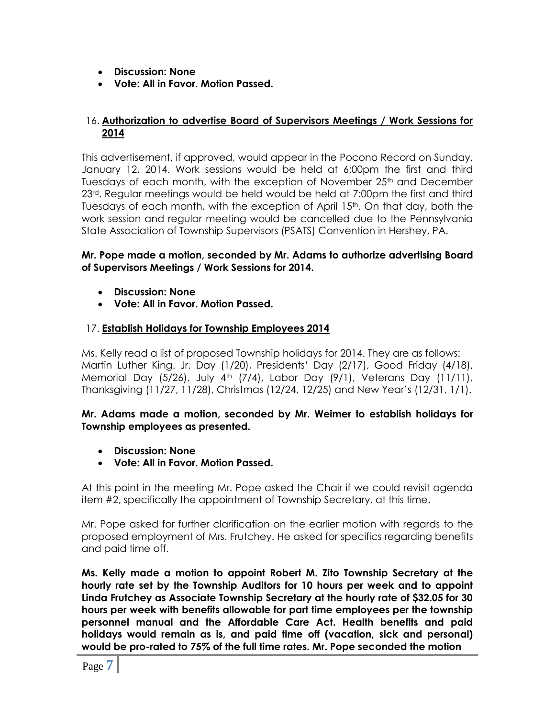- **Discussion: None**
- **Vote: All in Favor. Motion Passed.**

#### 16. **Authorization to advertise Board of Supervisors Meetings / Work Sessions for 2014**

This advertisement, if approved, would appear in the Pocono Record on Sunday, January 12, 2014. Work sessions would be held at 6:00pm the first and third Tuesdays of each month, with the exception of November  $25<sup>th</sup>$  and December 23<sup>rd</sup>. Regular meetings would be held would be held at 7:00pm the first and third Tuesdays of each month, with the exception of April 15<sup>th</sup>. On that day, both the work session and regular meeting would be cancelled due to the Pennsylvania State Association of Township Supervisors (PSATS) Convention in Hershey, PA.

#### **Mr. Pope made a motion, seconded by Mr. Adams to authorize advertising Board of Supervisors Meetings / Work Sessions for 2014.**

- **Discussion: None**
- **Vote: All in Favor. Motion Passed.**

### 17. **Establish Holidays for Township Employees 2014**

Ms. Kelly read a list of proposed Township holidays for 2014. They are as follows: Martin Luther King. Jr. Day (1/20), Presidents' Day (2/17), Good Friday (4/18), Memorial Day (5/26), July 4<sup>th</sup> (7/4), Labor Day (9/1), Veterans Day (11/11), Thanksgiving (11/27, 11/28), Christmas (12/24, 12/25) and New Year's (12/31, 1/1).

#### **Mr. Adams made a motion, seconded by Mr. Weimer to establish holidays for Township employees as presented.**

- **Discussion: None**
- **Vote: All in Favor. Motion Passed.**

At this point in the meeting Mr. Pope asked the Chair if we could revisit agenda item #2, specifically the appointment of Township Secretary, at this time.

Mr. Pope asked for further clarification on the earlier motion with regards to the proposed employment of Mrs. Frutchey. He asked for specifics regarding benefits and paid time off.

**Ms. Kelly made a motion to appoint Robert M. Zito Township Secretary at the hourly rate set by the Township Auditors for 10 hours per week and to appoint Linda Frutchey as Associate Township Secretary at the hourly rate of \$32.05 for 30 hours per week with benefits allowable for part time employees per the township personnel manual and the Affordable Care Act. Health benefits and paid holidays would remain as is, and paid time off (vacation, sick and personal) would be pro-rated to 75% of the full time rates. Mr. Pope seconded the motion**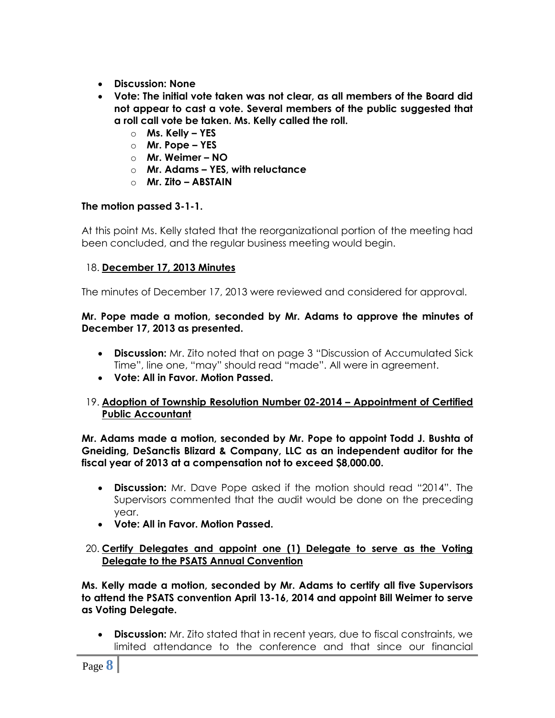- **Discussion: None**
- **Vote: The initial vote taken was not clear, as all members of the Board did not appear to cast a vote. Several members of the public suggested that a roll call vote be taken. Ms. Kelly called the roll.**
	- o **Ms. Kelly – YES**
	- o **Mr. Pope – YES**
	- o **Mr. Weimer – NO**
	- o **Mr. Adams – YES, with reluctance**
	- o **Mr. Zito – ABSTAIN**

## **The motion passed 3-1-1.**

At this point Ms. Kelly stated that the reorganizational portion of the meeting had been concluded, and the regular business meeting would begin.

## 18. **December 17, 2013 Minutes**

The minutes of December 17, 2013 were reviewed and considered for approval.

#### **Mr. Pope made a motion, seconded by Mr. Adams to approve the minutes of December 17, 2013 as presented.**

- **Discussion:** Mr. Zito noted that on page 3 "Discussion of Accumulated Sick Time", line one, "may" should read "made". All were in agreement.
- **Vote: All in Favor. Motion Passed.**

### 19. **Adoption of Township Resolution Number 02-2014 – Appointment of Certified Public Accountant**

**Mr. Adams made a motion, seconded by Mr. Pope to appoint Todd J. Bushta of Gneiding, DeSanctis Blizard & Company, LLC as an independent auditor for the fiscal year of 2013 at a compensation not to exceed \$8,000.00.**

- **Discussion:** Mr. Dave Pope asked if the motion should read "2014". The Supervisors commented that the audit would be done on the preceding year.
- **Vote: All in Favor. Motion Passed.**

### 20. **Certify Delegates and appoint one (1) Delegate to serve as the Voting Delegate to the PSATS Annual Convention**

**Ms. Kelly made a motion, seconded by Mr. Adams to certify all five Supervisors to attend the PSATS convention April 13-16, 2014 and appoint Bill Weimer to serve as Voting Delegate.**

 **Discussion:** Mr. Zito stated that in recent years, due to fiscal constraints, we limited attendance to the conference and that since our financial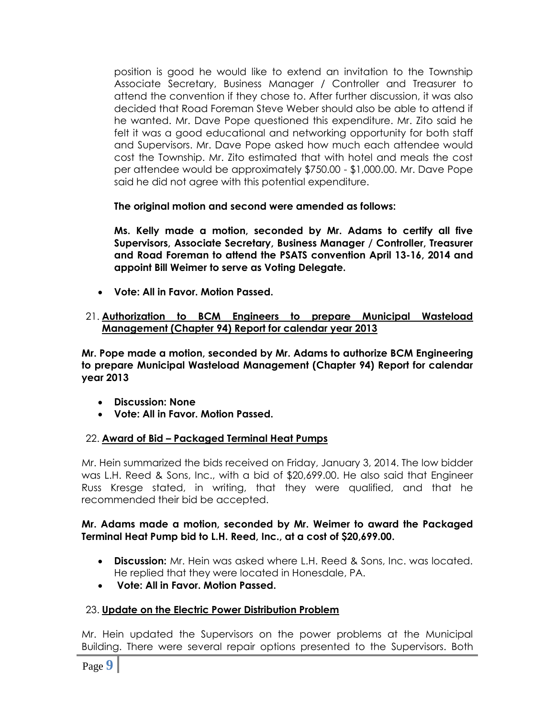position is good he would like to extend an invitation to the Township Associate Secretary, Business Manager / Controller and Treasurer to attend the convention if they chose to. After further discussion, it was also decided that Road Foreman Steve Weber should also be able to attend if he wanted. Mr. Dave Pope questioned this expenditure. Mr. Zito said he felt it was a good educational and networking opportunity for both staff and Supervisors. Mr. Dave Pope asked how much each attendee would cost the Township. Mr. Zito estimated that with hotel and meals the cost per attendee would be approximately \$750.00 - \$1,000.00. Mr. Dave Pope said he did not agree with this potential expenditure.

**The original motion and second were amended as follows:**

**Ms. Kelly made a motion, seconded by Mr. Adams to certify all five Supervisors, Associate Secretary, Business Manager / Controller, Treasurer and Road Foreman to attend the PSATS convention April 13-16, 2014 and appoint Bill Weimer to serve as Voting Delegate.**

- **Vote: All in Favor. Motion Passed.**
- 21. **Authorization to BCM Engineers to prepare Municipal Wasteload Management (Chapter 94) Report for calendar year 2013**

**Mr. Pope made a motion, seconded by Mr. Adams to authorize BCM Engineering to prepare Municipal Wasteload Management (Chapter 94) Report for calendar year 2013**

- **Discussion: None**
- **Vote: All in Favor. Motion Passed.**

### 22. **Award of Bid – Packaged Terminal Heat Pumps**

Mr. Hein summarized the bids received on Friday, January 3, 2014. The low bidder was L.H. Reed & Sons, Inc., with a bid of \$20,699.00. He also said that Engineer Russ Kresge stated, in writing, that they were qualified, and that he recommended their bid be accepted.

### **Mr. Adams made a motion, seconded by Mr. Weimer to award the Packaged Terminal Heat Pump bid to L.H. Reed, Inc., at a cost of \$20,699.00.**

- **Discussion:** Mr. Hein was asked where L.H. Reed & Sons, Inc. was located. He replied that they were located in Honesdale, PA.
- **Vote: All in Favor. Motion Passed.**

## 23. **Update on the Electric Power Distribution Problem**

Mr. Hein updated the Supervisors on the power problems at the Municipal Building. There were several repair options presented to the Supervisors. Both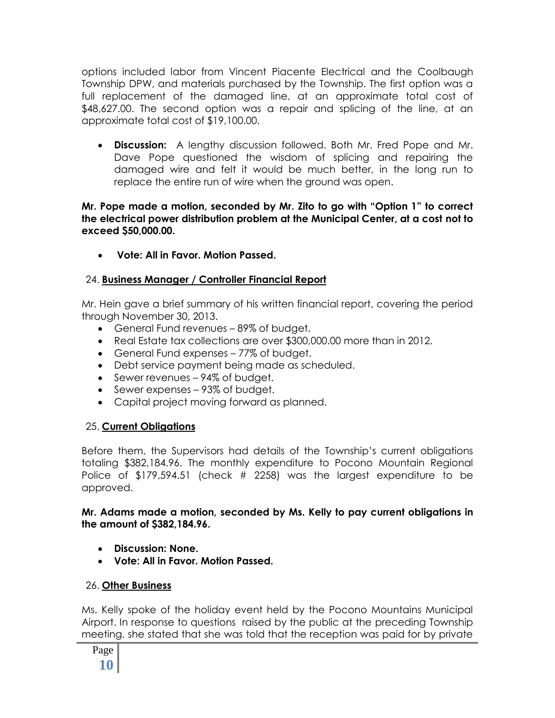options included labor from Vincent Piacente Electrical and the Coolbaugh Township DPW, and materials purchased by the Township. The first option was a full replacement of the damaged line, at an approximate total cost of \$48,627.00. The second option was a repair and splicing of the line, at an approximate total cost of \$19,100.00.

 **Discussion:** A lengthy discussion followed. Both Mr. Fred Pope and Mr. Dave Pope questioned the wisdom of splicing and repairing the damaged wire and felt it would be much better, in the long run to replace the entire run of wire when the ground was open.

### **Mr. Pope made a motion, seconded by Mr. Zito to go with "Option 1" to correct the electrical power distribution problem at the Municipal Center, at a cost not to exceed \$50,000.00.**

**Vote: All in Favor. Motion Passed.**

## 24. **Business Manager / Controller Financial Report**

Mr. Hein gave a brief summary of his written financial report, covering the period through November 30, 2013.

- General Fund revenues 89% of budget.
- Real Estate tax collections are over \$300,000.00 more than in 2012.
- General Fund expenses 77% of budget.
- Debt service payment being made as scheduled.
- Sewer revenues 94% of budget.
- Sewer expenses 93% of budget.
- Capital project moving forward as planned.

## 25. **Current Obligations**

Before them, the Supervisors had details of the Township's current obligations totaling \$382,184.96. The monthly expenditure to Pocono Mountain Regional Police of \$179,594.51 (check # 2258) was the largest expenditure to be approved.

## **Mr. Adams made a motion, seconded by Ms. Kelly to pay current obligations in the amount of \$382,184.96.**

- **Discussion: None.**
- **Vote: All in Favor. Motion Passed.**

## 26. **Other Business**

Ms. Kelly spoke of the holiday event held by the Pocono Mountains Municipal Airport. In response to questions raised by the public at the preceding Township meeting, she stated that she was told that the reception was paid for by private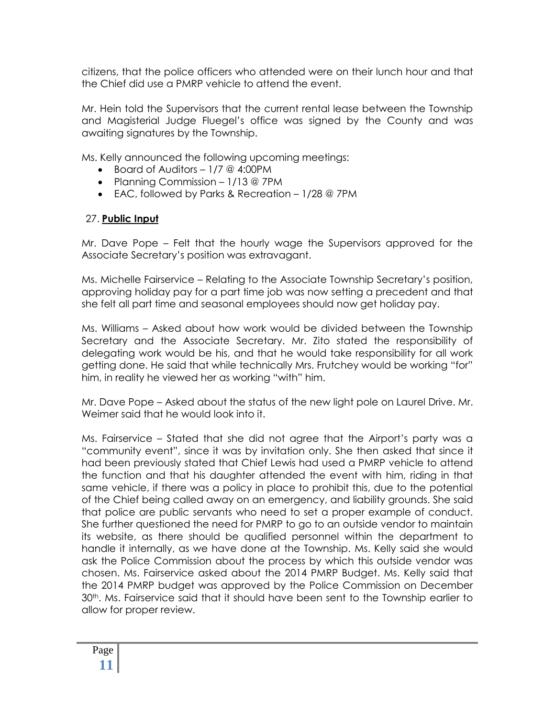citizens, that the police officers who attended were on their lunch hour and that the Chief did use a PMRP vehicle to attend the event.

Mr. Hein told the Supervisors that the current rental lease between the Township and Magisterial Judge Fluegel's office was signed by the County and was awaiting signatures by the Township.

Ms. Kelly announced the following upcoming meetings:

- Board of Auditors 1/7 @ 4:00PM
- Planning Commission 1/13 @ 7PM
- EAC, followed by Parks & Recreation 1/28 @ 7PM

## 27. **Public Input**

Mr. Dave Pope – Felt that the hourly wage the Supervisors approved for the Associate Secretary's position was extravagant.

Ms. Michelle Fairservice – Relating to the Associate Township Secretary's position, approving holiday pay for a part time job was now setting a precedent and that she felt all part time and seasonal employees should now get holiday pay.

Ms. Williams – Asked about how work would be divided between the Township Secretary and the Associate Secretary. Mr. Zito stated the responsibility of delegating work would be his, and that he would take responsibility for all work getting done. He said that while technically Mrs. Frutchey would be working "for" him, in reality he viewed her as working "with" him.

Mr. Dave Pope – Asked about the status of the new light pole on Laurel Drive. Mr. Weimer said that he would look into it.

Ms. Fairservice – Stated that she did not agree that the Airport's party was a "community event", since it was by invitation only. She then asked that since it had been previously stated that Chief Lewis had used a PMRP vehicle to attend the function and that his daughter attended the event with him, riding in that same vehicle, if there was a policy in place to prohibit this, due to the potential of the Chief being called away on an emergency, and liability grounds. She said that police are public servants who need to set a proper example of conduct. She further questioned the need for PMRP to go to an outside vendor to maintain its website, as there should be qualified personnel within the department to handle it internally, as we have done at the Township. Ms. Kelly said she would ask the Police Commission about the process by which this outside vendor was chosen. Ms. Fairservice asked about the 2014 PMRP Budget. Ms. Kelly said that the 2014 PMRP budget was approved by the Police Commission on December 30th. Ms. Fairservice said that it should have been sent to the Township earlier to allow for proper review.